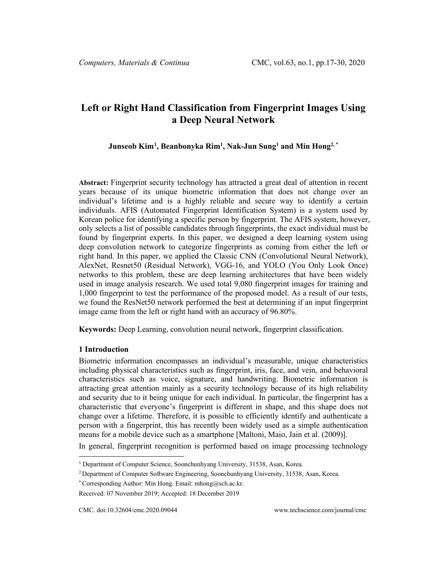# **Left or Right Hand Classification from Fingerprint Images Using a Deep Neural Network**

## **Junseob Kim[1](#page-0-0) , Beanbonyka Rim1 , Nak-Jun Sung1 and Min Hong2, \***

**Abstract:** Fingerprint security technology has attracted a great deal of attention in recent years because of its unique biometric information that does not change over an individual's lifetime and is a highly reliable and secure way to identify a certain individuals. AFIS (Automated Fingerprint Identification System) is a system used by Korean police for identifying a specific person by fingerprint. The AFIS system, however, only selects a list of possible candidates through fingerprints, the exact individual must be found by fingerprint experts. In this paper, we designed a deep learning system using deep convolution network to categorize fingerprints as coming from either the left or right hand. In this paper, we applied the Classic CNN (Convolutional Neural Network), AlexNet, Resnet50 (Residual Network), VGG-16, and YOLO (You Only Look Once) networks to this problem, these are deep learning architectures that have been widely used in image analysis research. We used total 9,080 fingerprint images for training and 1,000 fingerprint to test the performance of the proposed model. As a result of our tests, we found the ResNet50 network performed the best at determining if an input fingerprint image came from the left or right hand with an accuracy of 96.80%.

**Keywords:** Deep Learning, convolution neural network, fingerprint classification.

#### **1 Introduction**

Biometric information encompasses an individual's measurable, unique characteristics including physical characteristics such as fingerprint, iris, face, and vein, and behavioral characteristics such as voice, signature, and handwriting. Biometric information is attracting great attention mainly as a security technology because of its high reliability and security due to it being unique for each individual. In particular, the fingerprint has a characteristic that everyone's fingerprint is different in shape, and this shape does not change over a lifetime. Therefore, it is possible to efficiently identify and authenticate a person with a fingerprint, this has recently been widely used as a simple authentication means for a mobile device such as a smartphone [Maltoni, Maio, Jain et al. (2009)].

In general, fingerprint recognition is performed based on image processing technology

<span id="page-0-0"></span><sup>&</sup>lt;sup>1</sup> Department of Computer Science, Soonchunhyang University, 31538, Asan, Korea.

<sup>2</sup> Department of Computer Software Engineering, Soonchunhyang University, 31538, Asan, Korea.

<sup>\*</sup> Corresponding Author: Min Hong. Email: mhong@sch.ac.kr.

Received: 07 November 2019; Accepted: 18 December 2019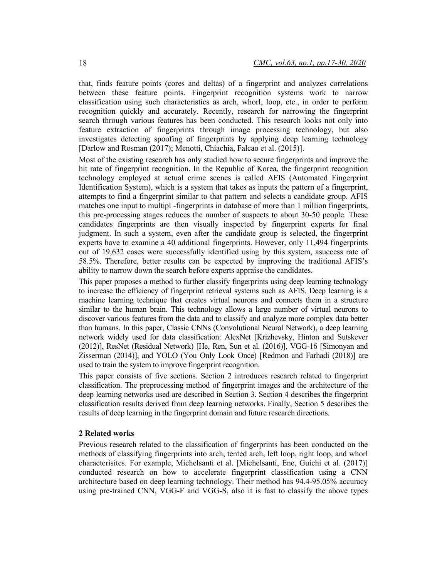that, finds feature points (cores and deltas) of a fingerprint and analyzes correlations between these feature points. Fingerprint recognition systems work to narrow classification using such characteristics as arch, whorl, loop, etc., in order to perform recognition quickly and accurately. Recently, research for narrowing the fingerprint search through various features has been conducted. This research looks not only into feature extraction of fingerprints through image processing technology, but also investigates detecting spoofing of fingerprints by applying deep learning technology [Darlow and Rosman (2017); Menotti, Chiachia, Falcao et al. (2015)].

Most of the existing research has only studied how to secure fingerprints and improve the hit rate of fingerprint recognition. In the Republic of Korea, the fingerprint recognition technology employed at actual crime scenes is called AFIS (Automated Fingerprint Identification System), which is a system that takes as inputs the pattern of a fingerprint, attempts to find a fingerprint similar to that pattern and selects a candidate group. AFIS matches one input to multipl -fingerprints in database of more than 1 million fingerprints, this pre-processing stages reduces the number of suspects to about 30-50 people. These candidates fingerprints are then visually inspected by fingerprint experts for final judgment. In such a system, even after the candidate group is selected, the fingerprint experts have to examine a 40 additional fingerprints. However, only 11,494 fingerprints out of 19,632 cases were successfully identified using by this system, asuccess rate of 58.5%. Therefore, better results can be expected by improving the traditional AFIS's ability to narrow down the search before experts appraise the candidates.

This paper proposes a method to further classify fingerprints using deep learning technology to increase the efficiency of fingerprint retrieval systems such as AFIS. Deep learning is a machine learning technique that creates virtual neurons and connects them in a structure similar to the human brain. This technology allows a large number of virtual neurons to discover various features from the data and to classify and analyze more complex data better than humans. In this paper, Classic CNNs (Convolutional Neural Network), a deep learning network widely used for data classification: AlexNet [Krizhevsky, Hinton and Sutskever (2012)], ResNet (Residual Network) [He, Ren, Sun et al. (2016)], VGG-16 [Simonyan and Zisserman (2014)], and YOLO (You Only Look Once) [Redmon and Farhadi (2018)] are used to train the system to improve fingerprint recognition.

This paper consists of five sections. Section 2 introduces research related to fingerprint classification. The preprocessing method of fingerprint images and the architecture of the deep learning networks used are described in Section 3. Section 4 describes the fingerprint classification results derived from deep learning networks. Finally, Section 5 describes the results of deep learning in the fingerprint domain and future research directions.

#### **2 Related works**

Previous research related to the classification of fingerprints has been conducted on the methods of classifying fingerprints into arch, tented arch, left loop, right loop, and whorl characterisitcs. For example, Michelsanti et al. [Michelsanti, Ene, Guichi et al. (2017)] conducted research on how to accelerate fingerprint classification using a CNN architecture based on deep learning technology. Their method has 94.4-95.05% accuracy using pre-trained CNN, VGG-F and VGG-S, also it is fast to classify the above types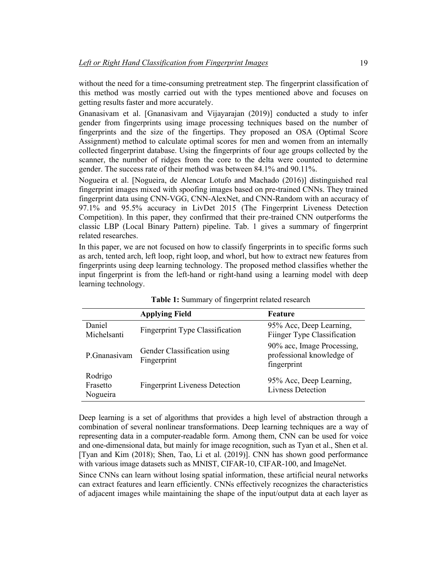without the need for a time-consuming pretreatment step. The fingerprint classification of this method was mostly carried out with the types mentioned above and focuses on getting results faster and more accurately.

Gnanasivam et al. [Gnanasivam and Vijayarajan (2019)] conducted a study to infer gender from fingerprints using image processing techniques based on the number of fingerprints and the size of the fingertips. They proposed an OSA (Optimal Score Assignment) method to calculate optimal scores for men and women from an internally collected fingerprint database. Using the fingerprints of four age groups collected by the scanner, the number of ridges from the core to the delta were counted to determine gender. The success rate of their method was between 84.1% and 90.11%.

Nogueira et al. [Nogueira, de Alencar Lotufo and Machado (2016)] distinguished real fingerprint images mixed with spoofing images based on pre-trained CNNs. They trained fingerprint data using CNN-VGG, CNN-AlexNet, and CNN-Random with an accuracy of 97.1% and 95.5% accuracy in LivDet 2015 (The Fingerprint Liveness Detection Competition). In this paper, they confirmed that their pre-trained CNN outperforms the classic LBP (Local Binary Pattern) pipeline. Tab. 1 gives a summary of fingerprint related researches.

In this paper, we are not focused on how to classify fingerprints in to specific forms such as arch, tented arch, left loop, right loop, and whorl, but how to extract new features from fingerprints using deep learning technology. The proposed method classifies whether the input fingerprint is from the left-hand or right-hand using a learning model with deep learning technology.

|                                 | <b>Applying Field</b>                      | <b>Feature</b>                                                         |
|---------------------------------|--------------------------------------------|------------------------------------------------------------------------|
| Daniel<br>Michelsanti           | <b>Fingerprint Type Classification</b>     | 95% Acc, Deep Learning,<br>Fiinger Type Classification                 |
| P.Gnanasivam                    | Gender Classification using<br>Fingerprint | 90% acc, Image Processing,<br>professional knowledge of<br>fingerprint |
| Rodrigo<br>Frasetto<br>Nogueira | <b>Fingerprint Liveness Detection</b>      | 95% Acc, Deep Learning,<br><b>Livness Detection</b>                    |

**Table 1:** Summary of fingerprint related research

Deep learning is a set of algorithms that provides a high level of abstraction through a combination of several nonlinear transformations. Deep learning techniques are a way of representing data in a computer-readable form. Among them, CNN can be used for voice and one-dimensional data, but mainly for image recognition, such as Tyan et al., Shen et al. [Tyan and Kim (2018); Shen, Tao, Li et al. (2019)]. CNN has shown good performance with various image datasets such as MNIST, CIFAR-10, CIFAR-100, and ImageNet.

Since CNNs can learn without losing spatial information, these artificial neural networks can extract features and learn efficiently. CNNs effectively recognizes the characteristics of adjacent images while maintaining the shape of the input/output data at each layer as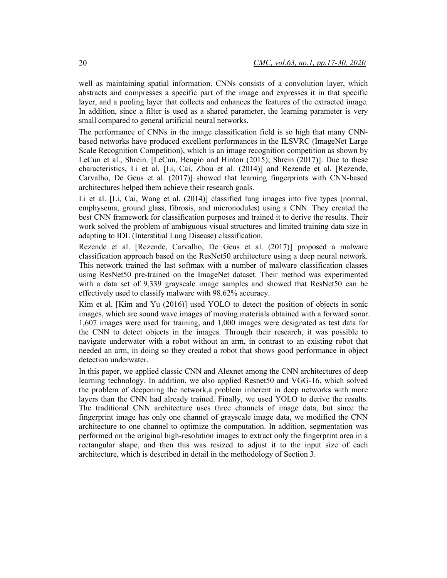well as maintaining spatial information. CNNs consists of a convolution layer, which abstracts and compresses a specific part of the image and expresses it in that specific layer, and a pooling layer that collects and enhances the features of the extracted image. In addition, since a filter is used as a shared parameter, the learning parameter is very small compared to general artificial neural networks.

The performance of CNNs in the image classification field is so high that many CNNbased networks have produced excellent performances in the ILSVRC (ImageNet Large Scale Recognition Competition), which is an image recognition competition as shown by LeCun et al., Shrein. [LeCun, Bengio and Hinton (2015); Shrein (2017)]. Due to these characteristics, Li et al. [Li, Cai, Zhou et al. (2014)] and Rezende et al. [Rezende, Carvalho, De Geus et al. (2017)] showed that learning fingerprints with CNN-based architectures helped them achieve their research goals.

Li et al. [Li, Cai, Wang et al. (2014)] classified lung images into five types (normal, emphysema, ground glass, fibrosis, and micronodules) using a CNN. They created the best CNN framework for classification purposes and trained it to derive the results. Their work solved the problem of ambiguous visual structures and limited training data size in adapting to IDL (Interstitial Lung Disease) classification.

Rezende et al. [Rezende, Carvalho, De Geus et al. (2017)] proposed a malware classification approach based on the ResNet50 architecture using a deep neural network. This network trained the last softmax with a number of malware classification classes using ResNet50 pre-trained on the ImageNet dataset. Their method was experimented with a data set of 9,339 grayscale image samples and showed that ResNet50 can be effectively used to classify malware with 98.62% accuracy.

Kim et al. [Kim and Yu (2016)] used YOLO to detect the position of objects in sonic images, which are sound wave images of moving materials obtained with a forward sonar. 1,607 images were used for training, and 1,000 images were designated as test data for the CNN to detect objects in the images. Through their research, it was possible to navigate underwater with a robot without an arm, in contrast to an existing robot that needed an arm, in doing so they created a robot that shows good performance in object detection underwater.

In this paper, we applied classic CNN and Alexnet among the CNN architectures of deep learning technology. In addition, we also applied Resnet50 and VGG-16, which solved the problem of deepening the network,a problem inherent in deep networks with more layers than the CNN had already trained. Finally, we used YOLO to derive the results. The traditional CNN architecture uses three channels of image data, but since the fingerprint image has only one channel of grayscale image data, we modified the CNN architecture to one channel to optimize the computation. In addition, segmentation was performed on the original high-resolution images to extract only the fingerprint area in a rectangular shape, and then this was resized to adjust it to the input size of each architecture, which is described in detail in the methodology of Section 3.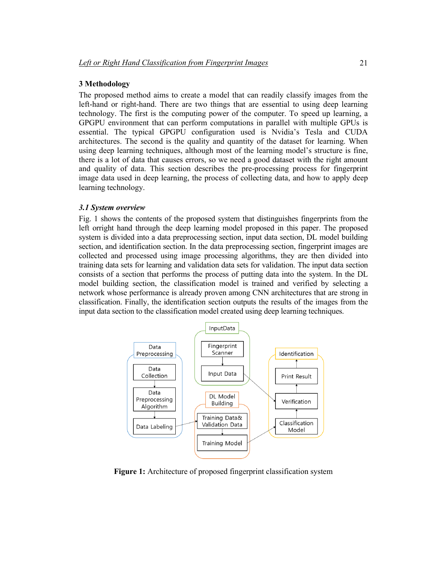## **3 Methodology**

The proposed method aims to create a model that can readily classify images from the left-hand or right-hand. There are two things that are essential to using deep learning technology. The first is the computing power of the computer. To speed up learning, a GPGPU environment that can perform computations in parallel with multiple GPUs is essential. The typical GPGPU configuration used is Nvidia's Tesla and CUDA architectures. The second is the quality and quantity of the dataset for learning. When using deep learning techniques, although most of the learning model's structure is fine, there is a lot of data that causes errors, so we need a good dataset with the right amount and quality of data. This section describes the pre-processing process for fingerprint image data used in deep learning, the process of collecting data, and how to apply deep learning technology.

#### *3.1 System overview*

Fig. 1 shows the contents of the proposed system that distinguishes fingerprints from the left orright hand through the deep learning model proposed in this paper. The proposed system is divided into a data preprocessing section, input data section, DL model building section, and identification section. In the data preprocessing section, fingerprint images are collected and processed using image processing algorithms, they are then divided into training data sets for learning and validation data sets for validation. The input data section consists of a section that performs the process of putting data into the system. In the DL model building section, the classification model is trained and verified by selecting a network whose performance is already proven among CNN architectures that are strong in classification. Finally, the identification section outputs the results of the images from the input data section to the classification model created using deep learning techniques.



**Figure 1:** Architecture of proposed fingerprint classification system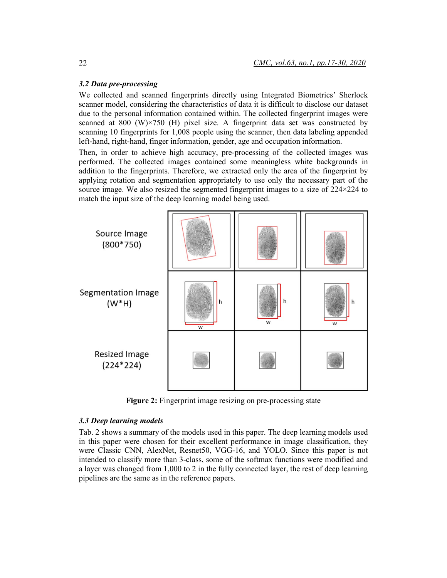#### *3.2 Data pre-processing*

We collected and scanned fingerprints directly using Integrated Biometrics' Sherlock scanner model, considering the characteristics of data it is difficult to disclose our dataset due to the personal information contained within. The collected fingerprint images were scanned at 800 (W) $\times$ 750 (H) pixel size. A fingerprint data set was constructed by scanning 10 fingerprints for 1,008 people using the scanner, then data labeling appended left-hand, right-hand, finger information, gender, age and occupation information.

Then, in order to achieve high accuracy, pre-processing of the collected images was performed. The collected images contained some meaningless white backgrounds in addition to the fingerprints. Therefore, we extracted only the area of the fingerprint by applying rotation and segmentation appropriately to use only the necessary part of the source image. We also resized the segmented fingerprint images to a size of  $224 \times 224$  to match the input size of the deep learning model being used.



**Figure 2:** Fingerprint image resizing on pre-processing state

### *3.3 Deep learning models*

Tab. 2 shows a summary of the models used in this paper. The deep learning models used in this paper were chosen for their excellent performance in image classification, they were Classic CNN, AlexNet, Resnet50, VGG-16, and YOLO. Since this paper is not intended to classify more than 3-class, some of the softmax functions were modified and a layer was changed from 1,000 to 2 in the fully connected layer, the rest of deep learning pipelines are the same as in the reference papers.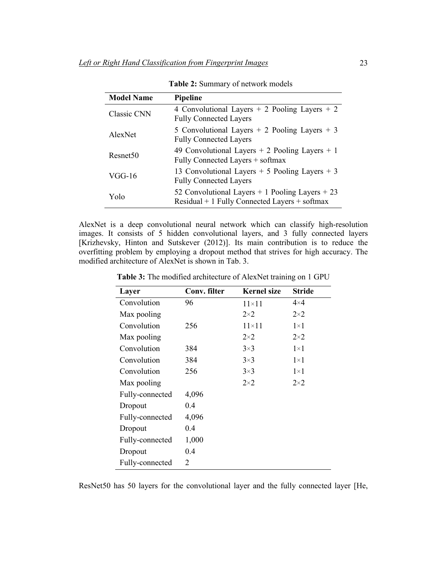| <b>Model Name</b>    | Pipeline                                                                                             |
|----------------------|------------------------------------------------------------------------------------------------------|
| Classic CNN          | 4 Convolutional Layers $+ 2$ Pooling Layers $+ 2$<br><b>Fully Connected Layers</b>                   |
| AlexNet              | 5 Convolutional Layers $+ 2$ Pooling Layers $+ 3$<br><b>Fully Connected Layers</b>                   |
| Resnet <sub>50</sub> | 49 Convolutional Layers $+ 2$ Pooling Layers $+ 1$<br>Fully Connected Layers + softmax               |
| VGG-16               | 13 Convolutional Layers $+ 5$ Pooling Layers $+ 3$<br><b>Fully Connected Layers</b>                  |
| Yolo                 | 52 Convolutional Layers $+1$ Pooling Layers $+23$<br>$Residual + 1$ Fully Connected Layers + softmax |

**Table 2:** Summary of network models

AlexNet is a deep convolutional neural network which can classify high-resolution images. It consists of 5 hidden convolutional layers, and 3 fully connected layers [Krizhevsky, Hinton and Sutskever (2012)]. Its main contribution is to reduce the overfitting problem by employing a dropout method that strives for high accuracy. The modified architecture of AlexNet is shown in Tab. 3.

| Layer           | Conv. filter   | <b>Kernel</b> size | <b>Stride</b> |
|-----------------|----------------|--------------------|---------------|
| Convolution     | 96             | $11 \times 11$     | $4\times4$    |
| Max pooling     |                | $2\times 2$        | $2\times 2$   |
| Convolution     | 256            | $11\times11$       | $1\times1$    |
| Max pooling     |                | $2\times 2$        | $2\times 2$   |
| Convolution     | 384            | $3\times3$         | $1\times1$    |
| Convolution     | 384            | $3\times3$         | $1\times1$    |
| Convolution     | 256            | $3\times3$         | $1\times1$    |
| Max pooling     |                | $2\times 2$        | $2\times 2$   |
| Fully-connected | 4,096          |                    |               |
| Dropout         | 0.4            |                    |               |
| Fully-connected | 4,096          |                    |               |
| Dropout         | 0.4            |                    |               |
| Fully-connected | 1,000          |                    |               |
| Dropout         | 0.4            |                    |               |
| Fully-connected | $\overline{2}$ |                    |               |

**Table 3:** The modified architecture of AlexNet training on 1 GPU

ResNet50 has 50 layers for the convolutional layer and the fully connected layer [He,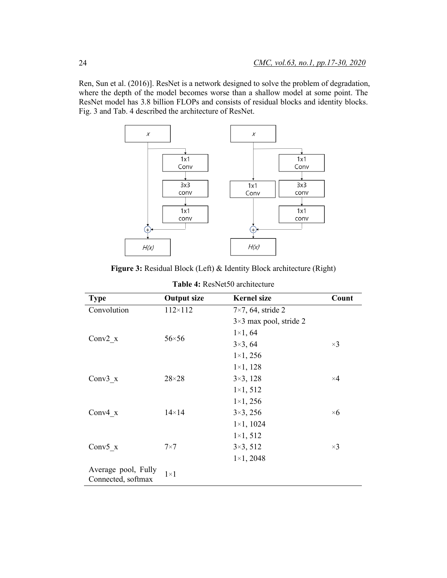Ren, Sun et al. (2016)]. ResNet is a network designed to solve the problem of degradation, where the depth of the model becomes worse than a shallow model at some point. The ResNet model has 3.8 billion FLOPs and consists of residual blocks and identity blocks. Fig. 3 and Tab. 4 described the architecture of ResNet.



**Figure 3:** Residual Block (Left) & Identity Block architecture (Right)

| <b>Type</b>                               | <b>Output size</b> | <b>Kernel</b> size            | Count      |
|-------------------------------------------|--------------------|-------------------------------|------------|
| Convolution                               | $112\times112$     | $7\times7$ , 64, stride 2     |            |
|                                           |                    | $3\times3$ max pool, stride 2 |            |
|                                           | $56\times56$       | $1 \times 1, 64$              |            |
| Conv $2 x$                                |                    | $3\times3, 64$                | $\times 3$ |
|                                           |                    | $1\times1, 256$               |            |
|                                           |                    | $1 \times 1, 128$             |            |
| Conv $3 \times$                           | $28\times28$       | $3\times3, 128$               | $\times 4$ |
|                                           |                    | $1\times1, 512$               |            |
|                                           |                    | $1\times1, 256$               |            |
| Conv $4 x$                                | $14\times14$       | $3\times3, 256$               | $\times 6$ |
|                                           |                    | $1 \times 1, 1024$            |            |
|                                           |                    | $1\times1, 512$               |            |
| Conv5 $x$                                 | $7\times7$         | $3\times3, 512$               | $\times 3$ |
|                                           |                    | $1 \times 1, 2048$            |            |
| Average pool, Fully<br>Connected, softmax | $1\times1$         |                               |            |

**Table 4:** ResNet50 architecture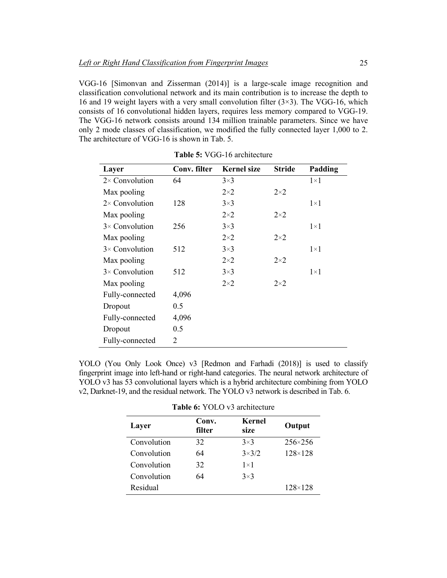VGG-16 [Simonvan and Zisserman (2014)] is a large-scale image recognition and classification convolutional network and its main contribution is to increase the depth to 16 and 19 weight layers with a very small convolution filter  $(3\times3)$ . The VGG-16, which consists of 16 convolutional hidden layers, requires less memory compared to VGG-19. The VGG-16 network consists around 134 million trainable parameters. Since we have only 2 mode classes of classification, we modified the fully connected layer 1,000 to 2. The architecture of VGG-16 is shown in Tab. 5.

| Layer                  | Conv. filter | <b>Kernel size</b> | <b>Stride</b> | Padding    |
|------------------------|--------------|--------------------|---------------|------------|
| $2 \times$ Convolution | 64           | $3\times3$         |               | $1\times1$ |
| Max pooling            |              | $2\times 2$        | $2\times 2$   |            |
| $2 \times$ Convolution | 128          | $3\times3$         |               | $1\times1$ |
| Max pooling            |              | $2\times 2$        | $2\times 2$   |            |
| $3 \times$ Convolution | 256          | $3\times3$         |               | $1\times1$ |
| Max pooling            |              | $2\times 2$        | $2\times 2$   |            |
| $3 \times$ Convolution | 512          | $3\times3$         |               | $1\times1$ |
| Max pooling            |              | $2\times 2$        | $2\times 2$   |            |
| $3 \times$ Convolution | 512          | $3\times3$         |               | $1\times1$ |
| Max pooling            |              | $2\times 2$        | $2\times 2$   |            |
| Fully-connected        | 4,096        |                    |               |            |
| Dropout                | 0.5          |                    |               |            |
| Fully-connected        | 4,096        |                    |               |            |
| Dropout                | 0.5          |                    |               |            |
| Fully-connected        | 2            |                    |               |            |

**Table 5:** VGG-16 architecture

YOLO (You Only Look Once) v3 [Redmon and Farhadi (2018)] is used to classify fingerprint image into left-hand or right-hand categories. The neural network architecture of YOLO v3 has 53 convolutional layers which is a hybrid architecture combining from YOLO v2, Darknet-19, and the residual network. The YOLO v3 network is described in Tab. 6.

| Layer       | Conv.<br>Kernel<br>size<br>filter |              | Output           |  |
|-------------|-----------------------------------|--------------|------------------|--|
| Convolution | 32                                | $3\times3$   | $256 \times 256$ |  |
| Convolution | 64                                | $3\times3/2$ | $128 \times 128$ |  |
| Convolution | 32                                | $1\times1$   |                  |  |
| Convolution | 64                                | $3\times3$   |                  |  |
| Residual    |                                   |              | $128 \times 128$ |  |

**Table 6:** YOLO v3 architecture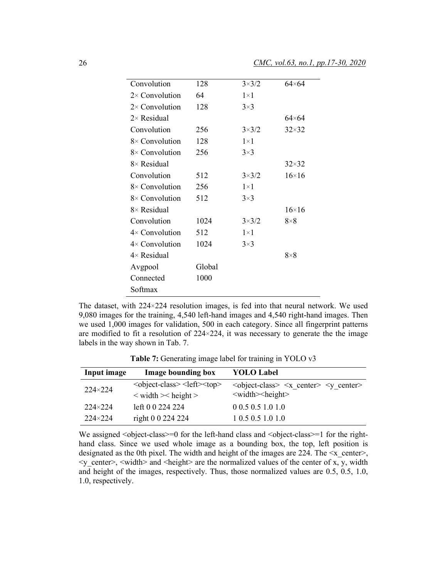| Convolution            | 128    | $3\times3/2$ | 64×64         |
|------------------------|--------|--------------|---------------|
| $2 \times$ Convolution | 64     | $1\times1$   |               |
| $2 \times$ Convolution | 128    | $3\times3$   |               |
| $2 \times$ Residual    |        |              | $64\times 64$ |
| Convolution            | 256    | $3\times3/2$ | $32\times32$  |
| $8 \times$ Convolution | 128    | $1\times1$   |               |
| $8\times$ Convolution  | 256    | $3\times3$   |               |
| $8\times$ Residual     |        |              | $32\times32$  |
| Convolution            | 512    | $3\times3/2$ | $16\times16$  |
| $8 \times$ Convolution | 256    | $1\times1$   |               |
| $8\times$ Convolution  | 512    | $3\times3$   |               |
| $8\times$ Residual     |        |              | $16\times16$  |
| Convolution            | 1024   | $3\times3/2$ | $8\times8$    |
| $4 \times$ Convolution | 512    | $1\times1$   |               |
| $4 \times$ Convolution | 1024   | $3\times3$   |               |
| $4 \times$ Residual    |        |              | $8\times8$    |
| Avgpool                | Global |              |               |
| Connected              | 1000   |              |               |
| Softmax                |        |              |               |
|                        |        |              |               |

The dataset, with 224×224 resolution images, is fed into that neural network. We used 9,080 images for the training, 4,540 left-hand images and 4,540 right-hand images. Then we used 1,000 images for validation, 500 in each category. Since all fingerprint patterns are modified to fit a resolution of 224×224, it was necessary to generate the the image labels in the way shown in Tab. 7.

Table 7: Generating image label for training in YOLO v3

| Input image      | Image bounding box                                                   | <b>YOLO Label</b>                                      |
|------------------|----------------------------------------------------------------------|--------------------------------------------------------|
| $224 \times 224$ | <object-class> <left><top></top></left></object-class>               | $\leq$ object-class> $\leq$ x center> $\leq$ y center> |
|                  | $\langle \text{width}\rangle$ < width $\langle \text{height}\rangle$ | $\leq$ width $\geq$ height $\geq$                      |
| $224 \times 224$ | left 0 0 224 224                                                     | 0.0.5 0.5 1.0 1.0                                      |
| $224 \times 224$ | right 0 0 224 224                                                    | 1 0.5 0.5 1.0 1.0                                      |

We assigned  $\leq$  object-class $\geq$  =0 for the left-hand class and  $\leq$  object-class $\geq$  =1 for the righthand class. Since we used whole image as a bounding box, the top, left position is designated as the 0th pixel. The width and height of the images are 224. The  $\leq x$  center $>$ ,  $\leq y$  center>,  $\leq$  width> and  $\leq$  height> are the normalized values of the center of x, y, width and height of the images, respectively. Thus, those normalized values are 0.5, 0.5, 1.0, 1.0, respectively.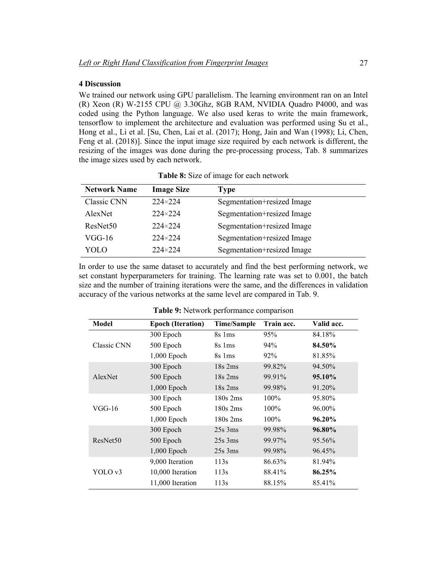## **4 Discussion**

We trained our network using GPU parallelism. The learning environment ran on an Intel (R) Xeon (R) W-2155 CPU  $@$  3.30Ghz, 8GB RAM, NVIDIA Quadro P4000, and was coded using the Python language. We also used keras to write the main framework, tensorflow to implement the architecture and evaluation was performed using Su et al., Hong et al., Li et al. [Su, Chen, Lai et al. (2017); Hong, Jain and Wan (1998); Li, Chen, Feng et al. (2018)]. Since the input image size required by each network is different, the resizing of the images was done during the pre-processing process, Tab. 8 summarizes the image sizes used by each network.

| <b>Network Name</b>  | <b>Image Size</b> | <b>Type</b>                |
|----------------------|-------------------|----------------------------|
| Classic CNN          | $224 \times 224$  | Segmentation+resized Image |
| AlexNet              | $224 \times 224$  | Segmentation+resized Image |
| ResNet <sub>50</sub> | $224 \times 224$  | Segmentation+resized Image |
| VGG-16               | $224 \times 224$  | Segmentation+resized Image |
| YOLO                 | $224 \times 224$  | Segmentation+resized Image |

**Table 8:** Size of image for each network

In order to use the same dataset to accurately and find the best performing network, we set constant hyperparameters for training. The learning rate was set to 0.001, the batch size and the number of training iterations were the same, and the differences in validation accuracy of the various networks at the same level are compared in Tab. 9.

| <b>Model</b>         | <b>Epoch (Iteration)</b> | <b>Time/Sample</b> | Train acc. | Valid acc. |
|----------------------|--------------------------|--------------------|------------|------------|
|                      | 300 Epoch                | 8s 1ms             | 95%        | 84.18%     |
| <b>Classic CNN</b>   | 500 Epoch                | 8s 1ms             | 94%        | 84.50%     |
|                      | $1,000$ Epoch            | 8s 1ms             | 92%        | 81.85%     |
|                      | 300 Epoch                | $18s$ 2ms          | 99.82%     | 94.50%     |
| AlexNet              | 500 Epoch                | $18s$ 2ms          | 99.91%     | 95.10%     |
|                      | $1,000$ Epoch            | $18s$ 2ms          | 99.98%     | 91.20%     |
|                      | 300 Epoch                | $180s$ 2ms         | 100%       | 95.80%     |
| $VGG-16$             | 500 Epoch                | $180s$ 2ms         | $100\%$    | 96.00%     |
|                      | $1,000$ Epoch            | $180s$ 2ms         | $100\%$    | $96.20\%$  |
|                      | 300 Epoch                | $25s$ 3ms          | 99.98%     | 96.80%     |
| ResNet <sub>50</sub> | 500 Epoch                | $25s$ 3ms          | 99.97%     | 95.56%     |
|                      | $1,000$ Epoch            | $25s$ 3ms          | 99.98%     | 96.45%     |
| YOLO v3              | 9,000 Iteration          | 113s               | 86.63%     | 81.94%     |
|                      | 10,000 Iteration         | 113s               | 88.41%     | 86.25%     |
|                      | 11,000 Iteration         | 113s               | 88.15%     | 85.41%     |

**Table 9:** Network performance comparison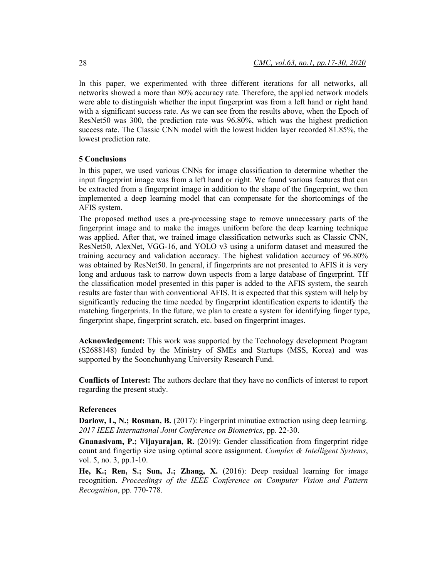In this paper, we experimented with three different iterations for all networks, all networks showed a more than 80% accuracy rate. Therefore, the applied network models were able to distinguish whether the input fingerprint was from a left hand or right hand with a significant success rate. As we can see from the results above, when the Epoch of ResNet50 was 300, the prediction rate was 96.80%, which was the highest prediction success rate. The Classic CNN model with the lowest hidden layer recorded 81.85%, the lowest prediction rate.

#### **5 Conclusions**

In this paper, we used various CNNs for image classification to determine whether the input fingerprint image was from a left hand or right. We found various features that can be extracted from a fingerprint image in addition to the shape of the fingerprint, we then implemented a deep learning model that can compensate for the shortcomings of the AFIS system.

The proposed method uses a pre-processing stage to remove unnecessary parts of the fingerprint image and to make the images uniform before the deep learning technique was applied. After that, we trained image classification networks such as Classic CNN, ResNet50, AlexNet, VGG-16, and YOLO v3 using a uniform dataset and measured the training accuracy and validation accuracy. The highest validation accuracy of 96.80% was obtained by ResNet50. In general, if fingerprints are not presented to AFIS it is very long and arduous task to narrow down uspects from a large database of fingerprint. TIf the classification model presented in this paper is added to the AFIS system, the search results are faster than with conventional AFIS. It is expected that this system will help by significantly reducing the time needed by fingerprint identification experts to identify the matching fingerprints. In the future, we plan to create a system for identifying finger type, fingerprint shape, fingerprint scratch, etc. based on fingerprint images.

**Acknowledgement:** This work was supported by the Technology development Program (S2688148) funded by the Ministry of SMEs and Startups (MSS, Korea) and was supported by the Soonchunhyang University Research Fund.

**Conflicts of Interest:** The authors declare that they have no conflicts of interest to report regarding the present study.

## **References**

**Darlow, L, N.; Rosman, B.** (2017): Fingerprint minutiae extraction using deep learning. *2017 IEEE International Joint Conference on Biometrics*, pp. 22-30.

**Gnanasivam, P.; Vijayarajan, R.** (2019): Gender classification from fingerprint ridge count and fingertip size using optimal score assignment. *Complex & Intelligent Systems*, vol. 5, no. 3, pp.1-10.

**He, K.; Ren, S.; Sun, J.; Zhang, X.** (2016): Deep residual learning for image recognition. *Proceedings of the IEEE Conference on Computer Vision and Pattern Recognition*, pp. 770-778.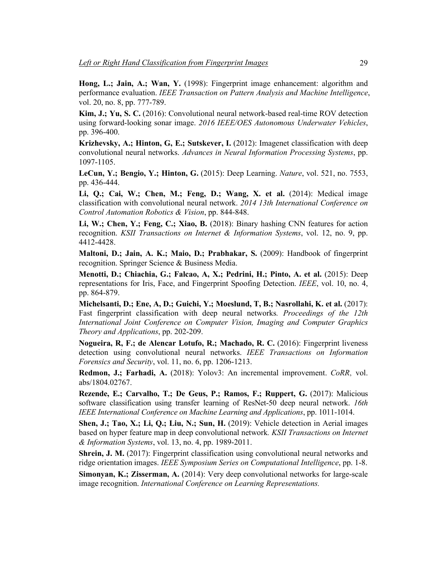**Hong, L.; Jain, A.; Wan, Y.** (1998): Fingerprint image enhancement: algorithm and performance evaluation. *IEEE Transaction on Pattern Analysis and Machine Intelligence*, vol. 20, no. 8, pp. 777-789.

**Kim, J.; Yu, S. C.** (2016): Convolutional neural network-based real-time ROV detection using forward-looking sonar image. *2016 IEEE/OES Autonomous Underwater Vehicles*, pp. 396-400.

**Krizhevsky, A.; Hinton, G, E.; Sutskever, I.** (2012): Imagenet classification with deep convolutional neural networks. *Advances in Neural Information Processing Systems*, pp. 1097-1105.

**LeCun, Y.; Bengio, Y.; Hinton, G.** (2015): Deep Learning. *Nature*, vol. 521, no. 7553, pp. 436-444.

**Li, Q.; Cai, W.; Chen, M.; Feng, D.; Wang, X. et al.** (2014): Medical image classification with convolutional neural network. *2014 13th International Conference on Control Automation Robotics & Vision*, pp. 844-848.

**Li, W.; Chen, Y.; Feng, C.; Xiao, B.** (2018): Binary hashing CNN features for action recognition. *KSII Transactions on Internet & Information Systems*, vol. 12, no. 9, pp. 4412-4428.

**Maltoni, D.; Jain, A. K.; Maio, D.; Prabhakar, S.** (2009): Handbook of fingerprint recognition. Springer Science & Business Media.

**Menotti, D.; Chiachia, G.; Falcao, A, X.; Pedrini, H.; Pinto, A. et al.** (2015): Deep representations for Iris, Face, and Fingerprint Spoofing Detection. *IEEE*, vol. 10, no. 4, pp. 864-879.

**Michelsanti, D.; Ene, A, D.; Guichi, Y.; Moeslund, T, B.; Nasrollahi, K. et al.** (2017): Fast fingerprint classification with deep neural networks*. Proceedings of the 12th International Joint Conference on Computer Vision, Imaging and Computer Graphics Theory and Applications*, pp. 202-209.

**Nogueira, R, F.; de Alencar Lotufo, R.; Machado, R. C.** (2016): Fingerprint liveness detection using convolutional neural networks. *IEEE Transactions on Information Forensics and Security*, vol. 11, no. 6, pp. 1206-1213.

**Redmon, J.; Farhadi, A.** (2018): Yolov3: An incremental improvement. *CoRR*, vol. abs/1804.02767.

**Rezende, E.; Carvalho, T.; De Geus, P.; Ramos, F.; Ruppert, G.** (2017): Malicious software classification using transfer learning of ResNet-50 deep neural network. *16th IEEE International Conference on Machine Learning and Applications*, pp. 1011-1014.

**Shen, J.; Tao, X.; Li, Q.; Liu, N.; Sun, H.** (2019): Vehicle detection in Aerial images based on hyper feature map in deep convolutional network*. KSII Transactions on Internet & Information Systems*, vol. 13, no. 4, pp. 1989-2011.

**Shrein, J. M.** (2017): Fingerprint classification using convolutional neural networks and ridge orientation images. *IEEE Symposium Series on Computational Intelligence*, pp. 1-8.

**Simonyan, K.; Zisserman, A.** (2014): Very deep convolutional networks for large-scale image recognition. *International Conference on Learning Representations.*